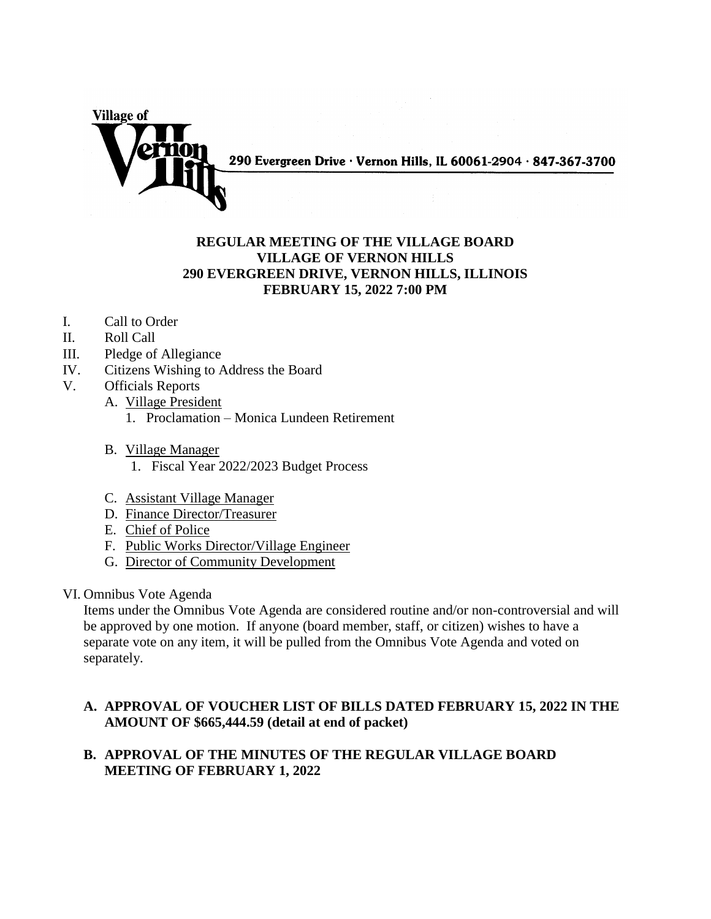290 Evergreen Drive · Vernon Hills, IL 60061-2904 · 847-367-3700

## **REGULAR MEETING OF THE VILLAGE BOARD VILLAGE OF VERNON HILLS 290 EVERGREEN DRIVE, VERNON HILLS, ILLINOIS FEBRUARY 15, 2022 7:00 PM**

I. Call to Order

**Village of** 

- II. Roll Call
- III. Pledge of Allegiance
- IV. Citizens Wishing to Address the Board
- V. Officials Reports
	- A. Village President
		- 1. Proclamation Monica Lundeen Retirement
	- B. Village Manager
		- 1. Fiscal Year 2022/2023 Budget Process
	- C. Assistant Village Manager
	- D. Finance Director/Treasurer
	- E. Chief of Police
	- F. Public Works Director/Village Engineer
	- G. Director of Community Development
- VI. Omnibus Vote Agenda

Items under the Omnibus Vote Agenda are considered routine and/or non-controversial and will be approved by one motion. If anyone (board member, staff, or citizen) wishes to have a separate vote on any item, it will be pulled from the Omnibus Vote Agenda and voted on separately.

## **A. APPROVAL OF VOUCHER LIST OF BILLS DATED FEBRUARY 15, 2022 IN THE AMOUNT OF \$665,444.59 (detail at end of packet)**

## **B. APPROVAL OF THE MINUTES OF THE REGULAR VILLAGE BOARD MEETING OF FEBRUARY 1, 2022**